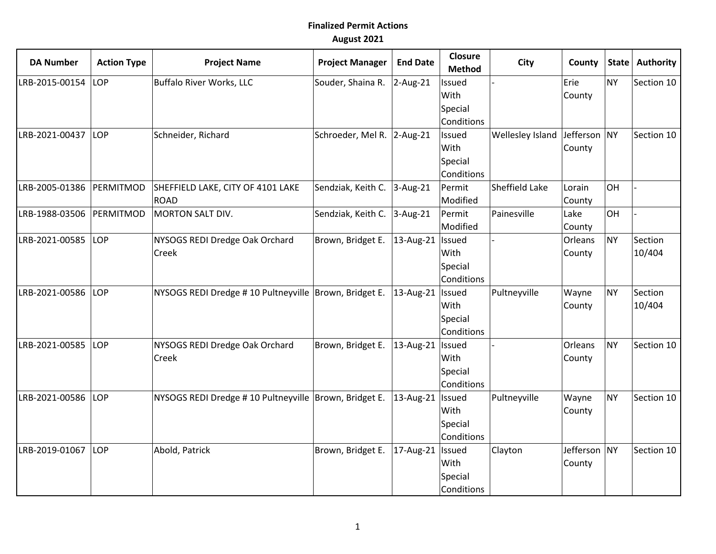## **Finalized Permit Actions August 2021**

| <b>DA Number</b> | <b>Action Type</b> | <b>Project Name</b>                                      | <b>Project Manager</b>     | <b>End Date</b>    | <b>Closure</b><br><b>Method</b> | <b>City</b>      | County       | State     | Authority  |
|------------------|--------------------|----------------------------------------------------------|----------------------------|--------------------|---------------------------------|------------------|--------------|-----------|------------|
| LRB-2015-00154   | LOP                | Buffalo River Works, LLC                                 | Souder, Shaina R.          | $2-Aug-21$         | Issued                          |                  | Erie         | <b>NY</b> | Section 10 |
|                  |                    |                                                          |                            |                    | With                            |                  | County       |           |            |
|                  |                    |                                                          |                            |                    | Special                         |                  |              |           |            |
|                  |                    |                                                          |                            |                    | Conditions                      |                  |              |           |            |
| LRB-2021-00437   | LOP                | Schneider, Richard                                       | Schroeder, Mel R. 2-Aug-21 |                    | Issued                          | Wellesley Island | Jefferson NY |           | Section 10 |
|                  |                    |                                                          |                            |                    | With                            |                  | County       |           |            |
|                  |                    |                                                          |                            |                    | Special                         |                  |              |           |            |
|                  |                    |                                                          |                            |                    | Conditions                      |                  |              |           |            |
| LRB-2005-01386   | PERMITMOD          | SHEFFIELD LAKE, CITY OF 4101 LAKE                        | Sendziak, Keith C.         | $3-Aug-21$         | Permit                          | Sheffield Lake   | Lorain       | OH        |            |
|                  |                    | <b>ROAD</b>                                              |                            |                    | Modified                        |                  | County       |           |            |
| LRB-1988-03506   | PERMITMOD          | MORTON SALT DIV.                                         | Sendziak, Keith C.         | $3-Aug-21$         | Permit                          | Painesville      | Lake         | OH        |            |
|                  |                    |                                                          |                            |                    | Modified                        |                  | County       |           |            |
| LRB-2021-00585   | LOP                | NYSOGS REDI Dredge Oak Orchard                           | Brown, Bridget E.          | 13-Aug-21          | Issued                          |                  | Orleans      | <b>NY</b> | Section    |
|                  |                    | Creek                                                    |                            |                    | With                            |                  | County       |           | 10/404     |
|                  |                    |                                                          |                            |                    | Special                         |                  |              |           |            |
|                  |                    |                                                          |                            |                    | Conditions                      |                  |              |           |            |
| LRB-2021-00586   | LOP                | NYSOGS REDI Dredge # 10 Pultneyville   Brown, Bridget E. |                            | 13-Aug-21   Issued |                                 | Pultneyville     | Wayne        | <b>NY</b> | Section    |
|                  |                    |                                                          |                            |                    | With                            |                  | County       |           | 10/404     |
|                  |                    |                                                          |                            |                    | Special                         |                  |              |           |            |
|                  |                    |                                                          |                            |                    | Conditions                      |                  |              |           |            |
| LRB-2021-00585   | LOP                | NYSOGS REDI Dredge Oak Orchard                           | Brown, Bridget E.          | 13-Aug-21          | Issued                          |                  | Orleans      | <b>NY</b> | Section 10 |
|                  |                    | Creek                                                    |                            |                    | With                            |                  | County       |           |            |
|                  |                    |                                                          |                            |                    | Special                         |                  |              |           |            |
|                  |                    |                                                          |                            |                    | Conditions                      |                  |              |           |            |
| LRB-2021-00586   | LOP                | NYSOGS REDI Dredge # 10 Pultneyville   Brown, Bridget E. |                            | 13-Aug-21          | Issued                          | Pultneyville     | Wayne        | <b>NY</b> | Section 10 |
|                  |                    |                                                          |                            |                    | With                            |                  | County       |           |            |
|                  |                    |                                                          |                            |                    | Special                         |                  |              |           |            |
|                  |                    |                                                          |                            |                    | Conditions                      |                  |              |           |            |
| LRB-2019-01067   | LOP                | Abold, Patrick                                           | Brown, Bridget E.          | 17-Aug-21   Issued |                                 | Clayton          | Jefferson NY |           | Section 10 |
|                  |                    |                                                          |                            |                    | With                            |                  | County       |           |            |
|                  |                    |                                                          |                            |                    | Special                         |                  |              |           |            |
|                  |                    |                                                          |                            |                    | Conditions                      |                  |              |           |            |